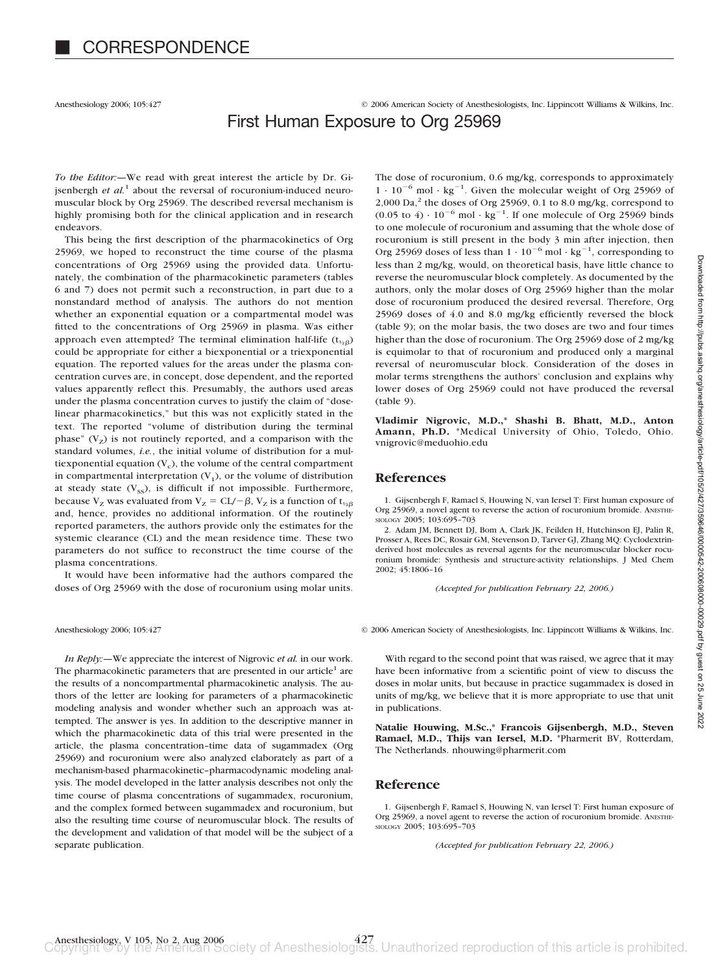Anesthesiology 2006; 105:427 © 2006 American Society of Anesthesiologists, Inc. Lippincott Williams & Wilkins, Inc.

# First Human Exposure to Org 25969

*To the Editor:—*We read with great interest the article by Dr. Gijsenbergh *et al.*<sup>1</sup> about the reversal of rocuronium-induced neuromuscular block by Org 25969. The described reversal mechanism is highly promising both for the clinical application and in research endeavors.

This being the first description of the pharmacokinetics of Org 25969, we hoped to reconstruct the time course of the plasma concentrations of Org 25969 using the provided data. Unfortunately, the combination of the pharmacokinetic parameters (tables 6 and 7) does not permit such a reconstruction, in part due to a nonstandard method of analysis. The authors do not mention whether an exponential equation or a compartmental model was fitted to the concentrations of Org 25969 in plasma. Was either approach even attempted? The terminal elimination half-life  $(t_{1/2})$ could be appropriate for either a biexponential or a triexponential equation. The reported values for the areas under the plasma concentration curves are, in concept, dose dependent, and the reported values apparently reflect this. Presumably, the authors used areas under the plasma concentration curves to justify the claim of "doselinear pharmacokinetics," but this was not explicitly stated in the text. The reported "volume of distribution during the terminal phase"  $(V<sub>z</sub>)$  is not routinely reported, and a comparison with the standard volumes, *i.e.*, the initial volume of distribution for a multiexponential equation  $(V_c)$ , the volume of the central compartment in compartmental interpretation  $(V_1)$ , or the volume of distribution at steady state  $(V_{SS})$ , is difficult if not impossible. Furthermore, because  $V_z$  was evaluated from  $V_z = CL/-\beta$ ,  $V_z$  is a function of  $t_{\frac{1}{2}\beta}$ and, hence, provides no additional information. Of the routinely reported parameters, the authors provide only the estimates for the systemic clearance (CL) and the mean residence time. These two parameters do not suffice to reconstruct the time course of the plasma concentrations.

It would have been informative had the authors compared the doses of Org 25969 with the dose of rocuronium using molar units.

*In Reply:—*We appreciate the interest of Nigrovic *et al.* in our work. The pharmacokinetic parameters that are presented in our article<sup>1</sup> are the results of a noncompartmental pharmacokinetic analysis. The authors of the letter are looking for parameters of a pharmacokinetic modeling analysis and wonder whether such an approach was attempted. The answer is yes. In addition to the descriptive manner in which the pharmacokinetic data of this trial were presented in the article, the plasma concentration–time data of sugammadex (Org 25969) and rocuronium were also analyzed elaborately as part of a mechanism-based pharmacokinetic–pharmacodynamic modeling analysis. The model developed in the latter analysis describes not only the time course of plasma concentrations of sugammadex, rocuronium, and the complex formed between sugammadex and rocuronium, but also the resulting time course of neuromuscular block. The results of the development and validation of that model will be the subject of a separate publication.

The dose of rocuronium, 0.6 mg/kg, corresponds to approximately  $1 \cdot 10^{-6}$  mol  $\cdot$  kg<sup>-1</sup>. Given the molecular weight of Org 25969 of  $2,000$  Da,<sup>2</sup> the doses of Org 25969, 0.1 to 8.0 mg/kg, correspond to  $(0.05 \text{ to } 4) \cdot 10^{-6} \text{ mol} \cdot \text{kg}^{-1}$ . If one molecule of Org 25969 binds to one molecule of rocuronium and assuming that the whole dose of rocuronium is still present in the body 3 min after injection, then Org 25969 doses of less than  $1 \cdot 10^{-6}$  mol  $\cdot$  kg<sup>-1</sup>, corresponding to less than 2 mg/kg, would, on theoretical basis, have little chance to reverse the neuromuscular block completely. As documented by the authors, only the molar doses of Org 25969 higher than the molar dose of rocuronium produced the desired reversal. Therefore, Org 25969 doses of 4.0 and 8.0 mg/kg efficiently reversed the block (table 9); on the molar basis, the two doses are two and four times higher than the dose of rocuronium. The Org 25969 dose of 2 mg/kg is equimolar to that of rocuronium and produced only a marginal reversal of neuromuscular block. Consideration of the doses in molar terms strengthens the authors' conclusion and explains why lower doses of Org 25969 could not have produced the reversal (table 9).

**Vladimir Nigrovic, M.D.,\* Shashi B. Bhatt, M.D., Anton Amann, Ph.D.** \*Medical University of Ohio, Toledo, Ohio. vnigrovic@meduohio.edu

## **References**

1. Gijsenbergh F, Ramael S, Houwing N, van Iersel T: First human exposure of Org 25969, a novel agent to reverse the action of rocuronium bromide. ANESTHE-SIOLOGY 2005; 103:695–703

2. Adam JM, Bennett DJ, Bom A, Clark JK, Feilden H, Hutchinson EL Palin R, Prosser A, Rees DC, Rosair GM, Stevenson D, Tarver GJ, Zhang MQ: Cyclodextrinderived host molecules as reversal agents for the neuromuscular blocker rocuronium bromide: Synthesis and structure-activity relationships. J Med Chem 2002; 45:1806–16

*(Accepted for publication February 22, 2006.)*

Anesthesiology 2006; 105:427 © 2006 American Society of Anesthesiologists, Inc. Lippincott Williams & Wilkins, Inc.

With regard to the second point that was raised, we agree that it may have been informative from a scientific point of view to discuss the doses in molar units, but because in practice sugammadex is dosed in units of mg/kg, we believe that it is more appropriate to use that unit in publications.

**Natalie Houwing, M.Sc.,\* Francois Gijsenbergh, M.D., Steven Ramael, M.D., Thijs van Iersel, M.D.** \*Pharmerit BV, Rotterdam, The Netherlands. nhouwing@pharmerit.com

# **Reference**

1. Gijsenbergh F, Ramael S, Houwing N, van Iersel T: First human exposure of Org 25969, a novel agent to reverse the action of rocuronium bromide. ANESTHE-SIOLOGY 2005; 103:695–703

*(Accepted for publication February 22, 2006.)*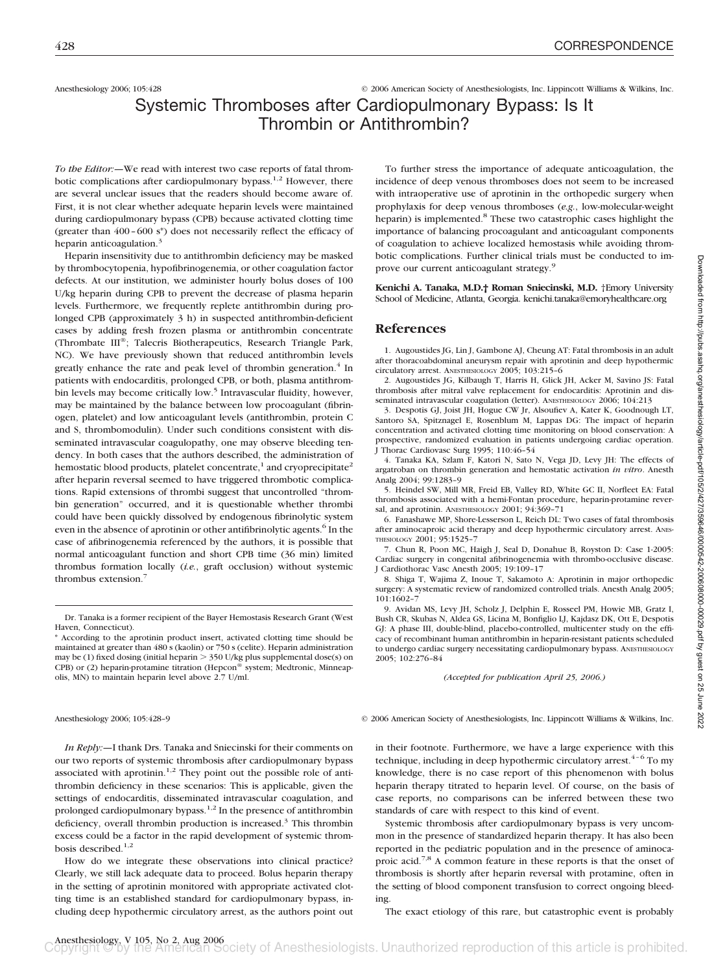Anesthesiology 2006; 105:428 © 2006 American Society of Anesthesiologists, Inc. Lippincott Williams & Wilkins, Inc.

# Systemic Thromboses after Cardiopulmonary Bypass: Is It Thrombin or Antithrombin?

*To the Editor:—*We read with interest two case reports of fatal thrombotic complications after cardiopulmonary bypass.<sup>1,2</sup> However, there are several unclear issues that the readers should become aware of. First, it is not clear whether adequate heparin levels were maintained during cardiopulmonary bypass (CPB) because activated clotting time (greater than  $400 - 600$  s<sup>\*</sup>) does not necessarily reflect the efficacy of heparin anticoagulation.<sup>3</sup>

Heparin insensitivity due to antithrombin deficiency may be masked by thrombocytopenia, hypofibrinogenemia, or other coagulation factor defects. At our institution, we administer hourly bolus doses of 100 U/kg heparin during CPB to prevent the decrease of plasma heparin levels. Furthermore, we frequently replete antithrombin during prolonged CPB (approximately 3 h) in suspected antithrombin-deficient cases by adding fresh frozen plasma or antithrombin concentrate (Thrombate III®; Talecris Biotherapeutics, Research Triangle Park, NC). We have previously shown that reduced antithrombin levels greatly enhance the rate and peak level of thrombin generation.<sup>4</sup> In patients with endocarditis, prolonged CPB, or both, plasma antithrombin levels may become critically low.<sup>5</sup> Intravascular fluidity, however, may be maintained by the balance between low procoagulant (fibrinogen, platelet) and low anticoagulant levels (antithrombin, protein C and S, thrombomodulin). Under such conditions consistent with disseminated intravascular coagulopathy, one may observe bleeding tendency. In both cases that the authors described, the administration of hemostatic blood products, platelet concentrate,<sup>1</sup> and cryoprecipitate<sup>2</sup> after heparin reversal seemed to have triggered thrombotic complications. Rapid extensions of thrombi suggest that uncontrolled "thrombin generation" occurred, and it is questionable whether thrombi could have been quickly dissolved by endogenous fibrinolytic system even in the absence of aprotinin or other antifibrinolytic agents.<sup>6</sup> In the case of afibrinogenemia referenced by the authors, it is possible that normal anticoagulant function and short CPB time (36 min) limited thrombus formation locally (*i.e.*, graft occlusion) without systemic thrombus extension.7

To further stress the importance of adequate anticoagulation, the incidence of deep venous thromboses does not seem to be increased with intraoperative use of aprotinin in the orthopedic surgery when prophylaxis for deep venous thromboses (*e.g.*, low-molecular-weight heparin) is implemented.<sup>8</sup> These two catastrophic cases highlight the importance of balancing procoagulant and anticoagulant components of coagulation to achieve localized hemostasis while avoiding thrombotic complications. Further clinical trials must be conducted to improve our current anticoagulant strategy.<sup>9</sup>

**Kenichi A. Tanaka, M.D.† Roman Sniecinski, M.D.** †Emory University School of Medicine, Atlanta, Georgia. kenichi.tanaka@emoryhealthcare.org

# **References**

1. Augoustides JG, Lin J, Gambone AJ, Cheung AT: Fatal thrombosis in an adult after thoracoabdominal aneurysm repair with aprotinin and deep hypothermic circulatory arrest. ANESTHESIOLOGY 2005; 103:215–6

2. Augoustides JG, Kilbaugh T, Harris H, Glick JH, Acker M, Savino JS: Fatal thrombosis after mitral valve replacement for endocarditis: Aprotinin and disseminated intravascular coagulation (letter). ANESTHESIOLOGY 2006; 104:213

3. Despotis GJ, Joist JH, Hogue CW Jr, Alsoufiev A, Kater K, Goodnough LT, Santoro SA, Spitznagel E, Rosenblum M, Lappas DG: The impact of heparin concentration and activated clotting time monitoring on blood conservation: A prospective, randomized evaluation in patients undergoing cardiac operation. J Thorac Cardiovasc Surg 1995; 110:46–54

4. Tanaka KA, Szlam F, Katori N, Sato N, Vega JD, Levy JH: The effects of argatroban on thrombin generation and hemostatic activation *in vitro*. Anesth Analg 2004; 99:1283–9

5. Heindel SW, Mill MR, Freid EB, Valley RD, White GC II, Norfleet EA: Fatal thrombosis associated with a hemi-Fontan procedure, heparin-protamine reversal, and aprotinin. ANESTHESIOLOGY 2001; 94:369-71

6. Fanashawe MP, Shore-Lesserson L, Reich DL: Two cases of fatal thrombosis after aminocaproic acid therapy and deep hypothermic circulatory arrest. ANES-THESIOLOGY 2001; 95:1525–7

7. Chun R, Poon MC, Haigh J, Seal D, Donahue B, Royston D: Case 1-2005: Cardiac surgery in congenital afibrinogenemia with thrombo-occlusive disease. J Cardiothorac Vasc Anesth 2005; 19:109–17

8. Shiga T, Wajima Z, Inoue T, Sakamoto A: Aprotinin in major orthopedic surgery: A systematic review of randomized controlled trials. Anesth Analg 2005; 101:1602–7

9. Avidan MS, Levy JH, Scholz J, Delphin E, Rosseel PM, Howie MB, Gratz I, Bush CR, Skubas N, Aldea GS, Licina M, Bonfiglio LJ, Kajdasz DK, Ott E, Despotis GJ: A phase III, double-blind, placebo-controlled, multicenter study on the efficacy of recombinant human antithrombin in heparin-resistant patients scheduled to undergo cardiac surgery necessitating cardiopulmonary bypass. ANESTHESIOLOGY 2005; 102:276–84

*(Accepted for publication April 25, 2006.)*

Anesthesiology 2006; 105:428-9 © 2006 American Society of Anesthesiologists, Inc. Lippincott Williams & Wilkins, Inc.

*In Reply:—*I thank Drs. Tanaka and Sniecinski for their comments on our two reports of systemic thrombosis after cardiopulmonary bypass associated with aprotinin.<sup>1,2</sup> They point out the possible role of antithrombin deficiency in these scenarios: This is applicable, given the settings of endocarditis, disseminated intravascular coagulation, and prolonged cardiopulmonary bypass.<sup>1,2</sup> In the presence of antithrombin deficiency, overall thrombin production is increased.<sup>3</sup> This thrombin excess could be a factor in the rapid development of systemic thrombosis described. $^{1,2}$ 

How do we integrate these observations into clinical practice? Clearly, we still lack adequate data to proceed. Bolus heparin therapy in the setting of aprotinin monitored with appropriate activated clotting time is an established standard for cardiopulmonary bypass, including deep hypothermic circulatory arrest, as the authors point out in their footnote. Furthermore, we have a large experience with this technique, including in deep hypothermic circulatory arrest.<sup>4-6</sup> To my knowledge, there is no case report of this phenomenon with bolus heparin therapy titrated to heparin level. Of course, on the basis of case reports, no comparisons can be inferred between these two standards of care with respect to this kind of event.

Systemic thrombosis after cardiopulmonary bypass is very uncommon in the presence of standardized heparin therapy. It has also been reported in the pediatric population and in the presence of aminocaproic acid.7,8 A common feature in these reports is that the onset of thrombosis is shortly after heparin reversal with protamine, often in the setting of blood component transfusion to correct ongoing bleeding.

The exact etiology of this rare, but catastrophic event is probably

Dr. Tanaka is a former recipient of the Bayer Hemostasis Research Grant (West Haven, Connecticut).

According to the aprotinin product insert, activated clotting time should be maintained at greater than 480 s (kaolin) or 750 s (celite). Heparin administration may be (1) fixed dosing (initial heparin  $>$  350 U/kg plus supplemental dose(s) on CPB) or (2) heparin-protamine titration (Hepcon® system; Medtronic, Minneapolis, MN) to maintain heparin level above 2.7 U/ml.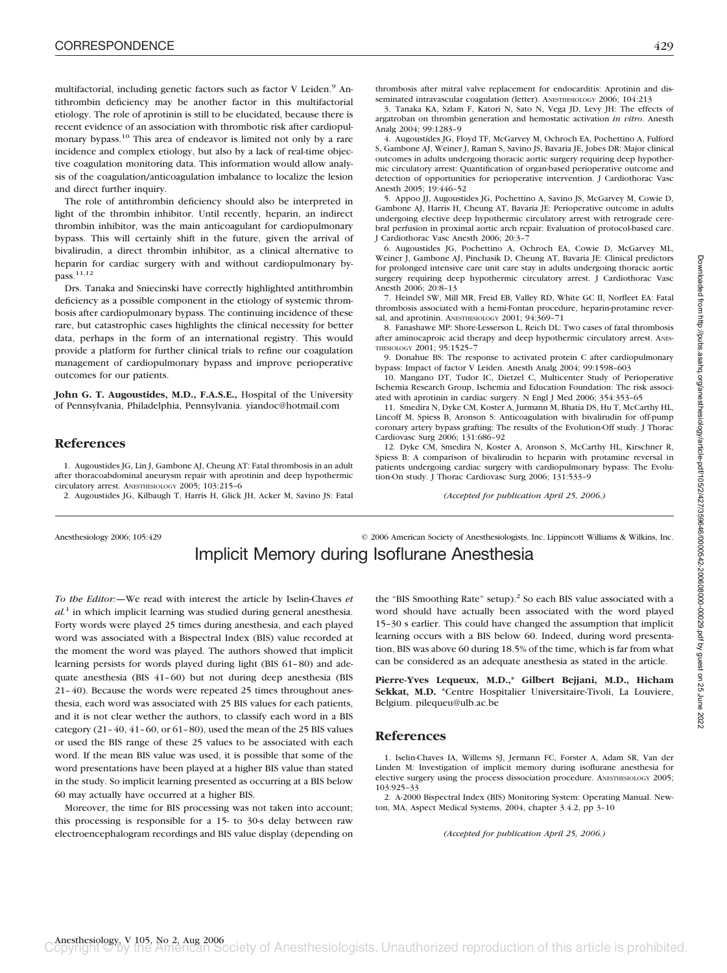multifactorial, including genetic factors such as factor V Leiden.<sup>9</sup> Antithrombin deficiency may be another factor in this multifactorial etiology. The role of aprotinin is still to be elucidated, because there is recent evidence of an association with thrombotic risk after cardiopulmonary bypass.<sup>10</sup> This area of endeavor is limited not only by a rare incidence and complex etiology, but also by a lack of real-time objective coagulation monitoring data. This information would allow analysis of the coagulation/anticoagulation imbalance to localize the lesion and direct further inquiry.

The role of antithrombin deficiency should also be interpreted in light of the thrombin inhibitor. Until recently, heparin, an indirect thrombin inhibitor, was the main anticoagulant for cardiopulmonary bypass. This will certainly shift in the future, given the arrival of bivalirudin, a direct thrombin inhibitor, as a clinical alternative to heparin for cardiac surgery with and without cardiopulmonary bypass.11,12

Drs. Tanaka and Sniecinski have correctly highlighted antithrombin deficiency as a possible component in the etiology of systemic thrombosis after cardiopulmonary bypass. The continuing incidence of these rare, but catastrophic cases highlights the clinical necessity for better data, perhaps in the form of an international registry. This would provide a platform for further clinical trials to refine our coagulation management of cardiopulmonary bypass and improve perioperative outcomes for our patients.

**John G. T. Augoustides, M.D., F.A.S.E.,** Hospital of the University of Pennsylvania, Philadelphia, Pennsylvania. yiandoc@hotmail.com

# **References**

1. Augoustides JG, Lin J, Gambone AJ, Cheung AT: Fatal thrombosis in an adult after thoracoabdominal aneurysm repair with aprotinin and deep hypothermic circulatory arrest. ANESTHESIOLOGY 2005; 103:215–6

2. Augoustides JG, Kilbaugh T, Harris H, Glick JH, Acker M, Savino JS: Fatal

thrombosis after mitral valve replacement for endocarditis: Aprotinin and disseminated intravascular coagulation (letter). ANESTHESIOLOGY 2006; 104:213

3. Tanaka KA, Szlam F, Katori N, Sato N, Vega JD, Levy JH: The effects of argatroban on thrombin generation and hemostatic activation *in vitro*. Anesth Analg 2004; 99:1283–9

4. Augoustides JG, Floyd TF, McGarvey M, Ochroch EA, Pochettino A, Fulford S, Gambone AJ, Weiner J, Raman S, Savino JS, Bavaria JE, Jobes DR: Major clinical outcomes in adults undergoing thoracic aortic surgery requiring deep hypothermic circulatory arrest: Quantification of organ-based perioperative outcome and detection of opportunities for perioperative intervention. J Cardiothorac Vasc Anesth 2005; 19:446–52

5. Appoo JJ, Augoustides JG, Pochettino A, Savino JS, McGarvey M, Cowie D, Gambone AJ, Harris H, Cheung AT, Bavaria JE: Perioperative outcome in adults undergoing elective deep hypothermic circulatory arrest with retrograde cerebral perfusion in proximal aortic arch repair: Evaluation of protocol-based care. J Cardiothorac Vasc Anesth 2006; 20:3–7

6. Augoustides JG, Pochettino A, Ochroch EA, Cowie D, McGarvey ML, Weiner J, Gambone AJ, Pinchasik D, Cheung AT, Bavaria JE: Clinical predictors for prolonged intensive care unit care stay in adults undergoing thoracic aortic surgery requiring deep hypothermic circulatory arrest. J Cardiothorac Vasc Anesth 2006; 20:8–13

7. Heindel SW, Mill MR, Freid EB, Valley RD, White GC II, Norfleet EA: Fatal thrombosis associated with a hemi-Fontan procedure, heparin-protamine reversal, and aprotinin. ANESTHESIOLOGY 2001; 94:369-71

8. Fanashawe MP: Shore-Lesserson L, Reich DL: Two cases of fatal thrombosis after aminocaproic acid therapy and deep hypothermic circulatory arrest. ANES-THESIOLOGY 2001; 95:1525–7

9. Donahue BS: The response to activated protein C after cardiopulmonary bypass: Impact of factor V Leiden. Anesth Analg 2004; 99:1598–603

10. Mangano DT, Tudor IC, Dietzel C, Multicenter Study of Perioperative Ischemia Research Group, Ischemia and Education Foundation: The risk associated with aprotinin in cardiac surgery. N Engl J Med 2006; 354:353–65

11. Smedira N, Dyke CM, Koster A, Jurmann M, Bhatia DS, Hu T, McCarthy HL, Lincoff M, Spiess B, Aronson S: Anticoagulation with bivalirudin for off-pump coronary artery bypass grafting: The results of the Evolution-Off study. J Thorac Cardiovasc Surg 2006; 131:686–92

12. Dyke CM, Smedira N, Koster A, Aronson S, McCarthy HL, Kirschner R, Spiess B: A comparison of bivalirudin to heparin with protamine reversal in patients undergoing cardiac surgery with cardiopulmonary bypass: The Evolution-On study. J Thorac Cardiovasc Surg 2006; 131:533–9

*(Accepted for publication April 25, 2006.)*

Anesthesiology 2006; 105:429 © 2006 American Society of Anesthesiologists, Inc. Lippincott Williams & Wilkins, Inc. Implicit Memory during Isoflurane Anesthesia

*To the Editor:—*We read with interest the article by Iselin-Chaves *et al.*<sup>1</sup> in which implicit learning was studied during general anesthesia. Forty words were played 25 times during anesthesia, and each played word was associated with a Bispectral Index (BIS) value recorded at the moment the word was played. The authors showed that implicit learning persists for words played during light (BIS 61– 80) and adequate anesthesia (BIS 41-60) but not during deep anesthesia (BIS 21– 40). Because the words were repeated 25 times throughout anesthesia, each word was associated with 25 BIS values for each patients, and it is not clear wether the authors, to classify each word in a BIS category  $(21-40, 41-60, or 61-80)$ , used the mean of the 25 BIS values or used the BIS range of these 25 values to be associated with each word. If the mean BIS value was used, it is possible that some of the word presentations have been played at a higher BIS value than stated in the study. So implicit learning presented as occurring at a BIS below 60 may actually have occurred at a higher BIS.

Moreover, the time for BIS processing was not taken into account; this processing is responsible for a 15- to 30-s delay between raw electroencephalogram recordings and BIS value display (depending on the "BIS Smoothing Rate" setup).<sup>2</sup> So each BIS value associated with a word should have actually been associated with the word played 15–30 s earlier. This could have changed the assumption that implicit learning occurs with a BIS below 60. Indeed, during word presentation, BIS was above 60 during 18.5% of the time, which is far from what can be considered as an adequate anesthesia as stated in the article.

**Pierre-Yves Lequeux, M.D.,\* Gilbert Bejjani, M.D., Hicham Sekkat, M.D.** \*Centre Hospitalier Universitaire-Tivoli, La Louviere, Belgium. pilequeu@ulb.ac.be

### **References**

1. Iselin-Chaves IA, Willems SJ, Jermann FC, Forster A, Adam SR, Van der Linden M: Investigation of implicit memory during isoflurane anesthesia for elective surgery using the process dissociation procedure. ANESTHESIOLOGY 2005; 103:925–33

2. A-2000 Bispectral Index (BIS) Monitoring System: Operating Manual. Newton, MA, Aspect Medical Systems, 2004, chapter 3.4.2, pp 3–10

*(Accepted for publication April 25, 2006.)*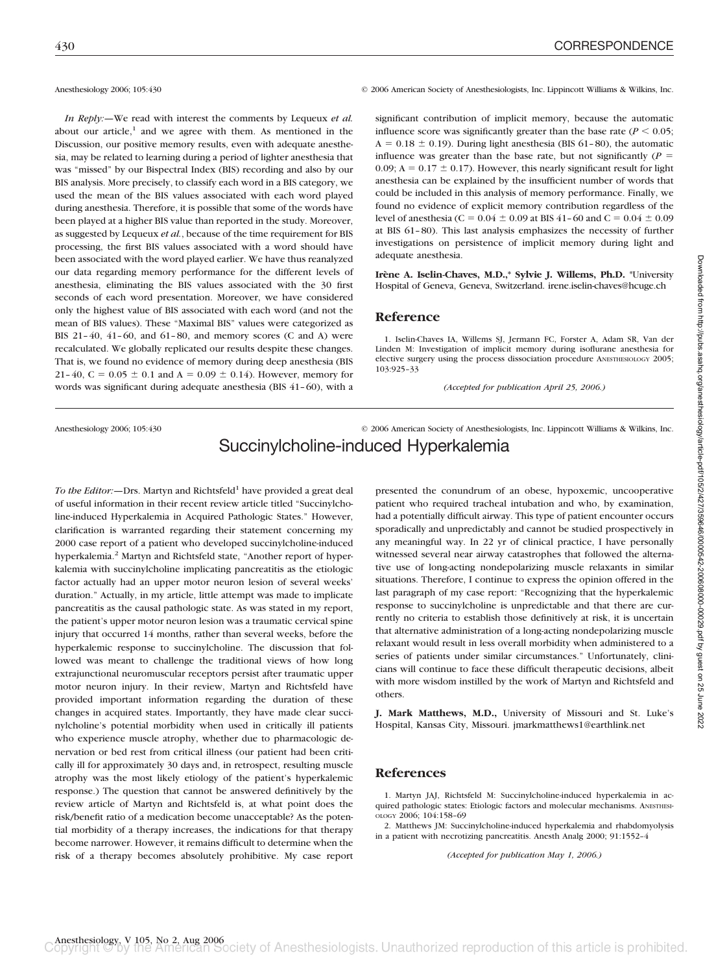*In Reply:—*We read with interest the comments by Lequeux *et al.* about our article, $<sup>1</sup>$  and we agree with them. As mentioned in the</sup> Discussion, our positive memory results, even with adequate anesthesia, may be related to learning during a period of lighter anesthesia that was "missed" by our Bispectral Index (BIS) recording and also by our BIS analysis. More precisely, to classify each word in a BIS category, we used the mean of the BIS values associated with each word played during anesthesia. Therefore, it is possible that some of the words have been played at a higher BIS value than reported in the study. Moreover, as suggested by Lequeux *et al.*, because of the time requirement for BIS processing, the first BIS values associated with a word should have been associated with the word played earlier. We have thus reanalyzed our data regarding memory performance for the different levels of anesthesia, eliminating the BIS values associated with the 30 first seconds of each word presentation. Moreover, we have considered only the highest value of BIS associated with each word (and not the mean of BIS values). These "Maximal BIS" values were categorized as BIS 21-40, 41-60, and 61-80, and memory scores (C and A) were recalculated. We globally replicated our results despite these changes. That is, we found no evidence of memory during deep anesthesia (BIS 21-40, C =  $0.05 \pm 0.1$  and A =  $0.09 \pm 0.14$ ). However, memory for words was significant during adequate anesthesia (BIS 41-60), with a

### Anesthesiology 2006; 105:430 © 2006 American Society of Anesthesiologists, Inc. Lippincott Williams & Wilkins, Inc.

significant contribution of implicit memory, because the automatic influence score was significantly greater than the base rate ( $P \le 0.05$ ;  $A = 0.18 \pm 0.19$ ). During light anesthesia (BIS 61–80), the automatic influence was greater than the base rate, but not significantly  $(P =$ 0.09;  $A = 0.17 \pm 0.17$ ). However, this nearly significant result for light anesthesia can be explained by the insufficient number of words that could be included in this analysis of memory performance. Finally, we found no evidence of explicit memory contribution regardless of the level of anesthesia (C =  $0.04 \pm 0.09$  at BIS 41–60 and C =  $0.04 \pm 0.09$ at BIS 61– 80). This last analysis emphasizes the necessity of further investigations on persistence of implicit memory during light and adequate anesthesia.

Irène A. Iselin-Chaves, M.D.,\* Sylvie J. Willems, Ph.D. \*University Hospital of Geneva, Geneva, Switzerland. irene.iselin-chaves@hcuge.ch

# **Reference**

1. Iselin-Chaves IA, Willems SJ, Jermann FC, Forster A, Adam SR, Van der Linden M: Investigation of implicit memory during isoflurane anesthesia for elective surgery using the process dissociation procedure ANESTHESIOLOGY 2005; 103:925–33

*(Accepted for publication April 25, 2006.)*

# Anesthesiology 2006; 105:430 © 2006 American Society of Anesthesiologists, Inc. Lippincott Williams & Wilkins, Inc. Succinylcholine-induced Hyperkalemia

*To the Editor:*—Drs. Martyn and Richtsfeld<sup>1</sup> have provided a great deal of useful information in their recent review article titled "Succinylcholine-induced Hyperkalemia in Acquired Pathologic States." However, clarification is warranted regarding their statement concerning my 2000 case report of a patient who developed succinylcholine-induced hyperkalemia.<sup>2</sup> Martyn and Richtsfeld state, "Another report of hyperkalemia with succinylcholine implicating pancreatitis as the etiologic factor actually had an upper motor neuron lesion of several weeks' duration." Actually, in my article, little attempt was made to implicate pancreatitis as the causal pathologic state. As was stated in my report, the patient's upper motor neuron lesion was a traumatic cervical spine injury that occurred 14 months, rather than several weeks, before the hyperkalemic response to succinylcholine. The discussion that followed was meant to challenge the traditional views of how long extrajunctional neuromuscular receptors persist after traumatic upper motor neuron injury. In their review, Martyn and Richtsfeld have provided important information regarding the duration of these changes in acquired states. Importantly, they have made clear succinylcholine's potential morbidity when used in critically ill patients who experience muscle atrophy, whether due to pharmacologic denervation or bed rest from critical illness (our patient had been critically ill for approximately 30 days and, in retrospect, resulting muscle atrophy was the most likely etiology of the patient's hyperkalemic response.) The question that cannot be answered definitively by the review article of Martyn and Richtsfeld is, at what point does the risk/benefit ratio of a medication become unacceptable? As the potential morbidity of a therapy increases, the indications for that therapy become narrower. However, it remains difficult to determine when the risk of a therapy becomes absolutely prohibitive. My case report

presented the conundrum of an obese, hypoxemic, uncooperative patient who required tracheal intubation and who, by examination, had a potentially difficult airway. This type of patient encounter occurs sporadically and unpredictably and cannot be studied prospectively in any meaningful way. In 22 yr of clinical practice, I have personally witnessed several near airway catastrophes that followed the alternative use of long-acting nondepolarizing muscle relaxants in similar situations. Therefore, I continue to express the opinion offered in the last paragraph of my case report: "Recognizing that the hyperkalemic response to succinylcholine is unpredictable and that there are currently no criteria to establish those definitively at risk, it is uncertain that alternative administration of a long-acting nondepolarizing muscle relaxant would result in less overall morbidity when administered to a series of patients under similar circumstances." Unfortunately, clinicians will continue to face these difficult therapeutic decisions, albeit with more wisdom instilled by the work of Martyn and Richtsfeld and others.

**J. Mark Matthews, M.D.,** University of Missouri and St. Luke's Hospital, Kansas City, Missouri. jmarkmatthews1@earthlink.net

## **References**

1. Martyn JAJ, Richtsfeld M: Succinylcholine-induced hyperkalemia in acquired pathologic states: Etiologic factors and molecular mechanisms. ANESTHESI-OLOGY 2006; 104:158–69

2. Matthews JM: Succinylcholine-induced hyperkalemia and rhabdomyolysis in a patient with necrotizing pancreatitis. Anesth Analg 2000; 91:1552–4

*(Accepted for publication May 1, 2006.)*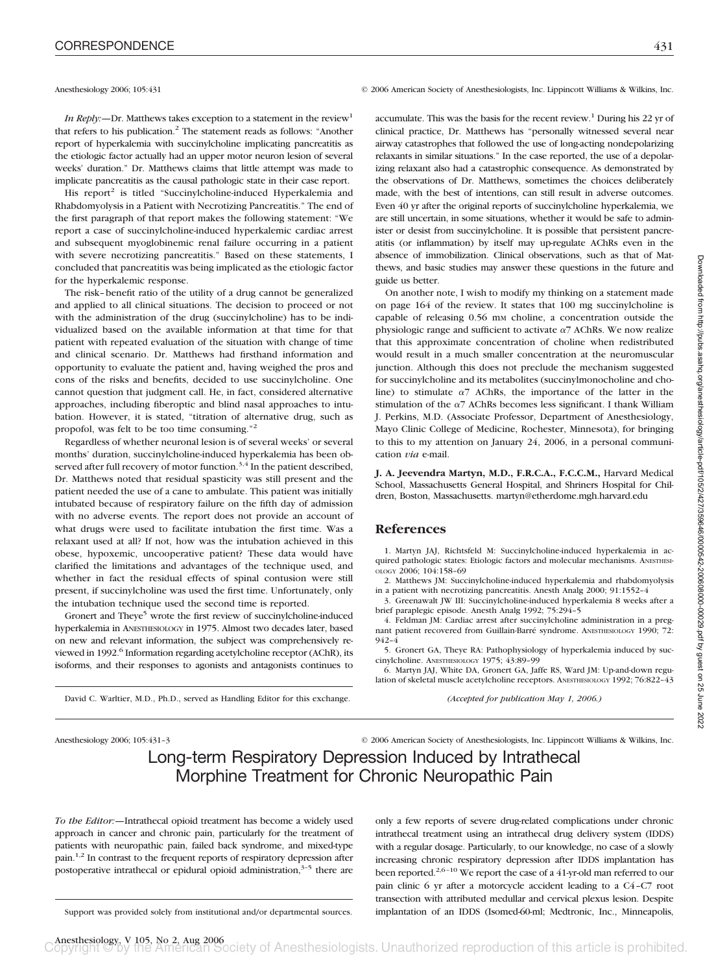Anesthesiology 2006; 105:431 © 2006 American Society of Anesthesiologists, Inc. Lippincott Williams & Wilkins, Inc.

*In Reply:*—Dr. Matthews takes exception to a statement in the review<sup>1</sup> that refers to his publication.<sup>2</sup> The statement reads as follows: "Another report of hyperkalemia with succinylcholine implicating pancreatitis as the etiologic factor actually had an upper motor neuron lesion of several weeks' duration." Dr. Matthews claims that little attempt was made to implicate pancreatitis as the causal pathologic state in their case report.

His report<sup>2</sup> is titled "Succinylcholine-induced Hyperkalemia and Rhabdomyolysis in a Patient with Necrotizing Pancreatitis." The end of the first paragraph of that report makes the following statement: "We report a case of succinylcholine-induced hyperkalemic cardiac arrest and subsequent myoglobinemic renal failure occurring in a patient with severe necrotizing pancreatitis." Based on these statements, I concluded that pancreatitis was being implicated as the etiologic factor for the hyperkalemic response.

The risk– benefit ratio of the utility of a drug cannot be generalized and applied to all clinical situations. The decision to proceed or not with the administration of the drug (succinylcholine) has to be individualized based on the available information at that time for that patient with repeated evaluation of the situation with change of time and clinical scenario. Dr. Matthews had firsthand information and opportunity to evaluate the patient and, having weighed the pros and cons of the risks and benefits, decided to use succinylcholine. One cannot question that judgment call. He, in fact, considered alternative approaches, including fiberoptic and blind nasal approaches to intubation. However, it is stated, "titration of alternative drug, such as propofol, was felt to be too time consuming."<sup>2</sup>

Regardless of whether neuronal lesion is of several weeks' or several months' duration, succinylcholine-induced hyperkalemia has been observed after full recovery of motor function.<sup>3,4</sup> In the patient described, Dr. Matthews noted that residual spasticity was still present and the patient needed the use of a cane to ambulate. This patient was initially intubated because of respiratory failure on the fifth day of admission with no adverse events. The report does not provide an account of what drugs were used to facilitate intubation the first time. Was a relaxant used at all? If not, how was the intubation achieved in this obese, hypoxemic, uncooperative patient? These data would have clarified the limitations and advantages of the technique used, and whether in fact the residual effects of spinal contusion were still present, if succinylcholine was used the first time. Unfortunately, only the intubation technique used the second time is reported.

Gronert and Theye<sup>5</sup> wrote the first review of succinylcholine-induced hyperkalemia in ANESTHESIOLOGY in 1975. Almost two decades later, based on new and relevant information, the subject was comprehensively reviewed in 1992.<sup>6</sup> Information regarding acetylcholine receptor (AChR), its isoforms, and their responses to agonists and antagonists continues to

David C. Warltier, M.D., Ph.D., served as Handling Editor for this exchange.

accumulate. This was the basis for the recent review.<sup>1</sup> During his 22 yr of clinical practice, Dr. Matthews has "personally witnessed several near airway catastrophes that followed the use of long-acting nondepolarizing relaxants in similar situations." In the case reported, the use of a depolarizing relaxant also had a catastrophic consequence. As demonstrated by the observations of Dr. Matthews, sometimes the choices deliberately made, with the best of intentions, can still result in adverse outcomes. Even 40 yr after the original reports of succinylcholine hyperkalemia, we are still uncertain, in some situations, whether it would be safe to administer or desist from succinylcholine. It is possible that persistent pancreatitis (or inflammation) by itself may up-regulate AChRs even in the absence of immobilization. Clinical observations, such as that of Matthews, and basic studies may answer these questions in the future and guide us better.

On another note, I wish to modify my thinking on a statement made on page 164 of the review. It states that 100 mg succinylcholine is capable of releasing 0.56 mm choline, a concentration outside the physiologic range and sufficient to activate  $\alpha$ 7 AChRs. We now realize that this approximate concentration of choline when redistributed would result in a much smaller concentration at the neuromuscular junction. Although this does not preclude the mechanism suggested for succinylcholine and its metabolites (succinylmonocholine and choline) to stimulate  $\alpha$ 7 AChRs, the importance of the latter in the stimulation of the  $\alpha$ 7 AChRs becomes less significant. I thank William J. Perkins, M.D. (Associate Professor, Department of Anesthesiology, Mayo Clinic College of Medicine, Rochester, Minnesota), for bringing to this to my attention on January 24, 2006, in a personal communication *via* e-mail.

**J. A. Jeevendra Martyn, M.D., F.R.C.A., F.C.C.M.,** Harvard Medical School, Massachusetts General Hospital, and Shriners Hospital for Children, Boston, Massachusetts. martyn@etherdome.mgh.harvard.edu

# **References**

1. Martyn JAJ, Richtsfeld M: Succinylcholine-induced hyperkalemia in acquired pathologic states: Etiologic factors and molecular mechanisms. ANESTHESI-OLOGY 2006; 104:158–69

2. Matthews JM: Succinylcholine-induced hyperkalemia and rhabdomyolysis in a patient with necrotizing pancreatitis. Anesth Analg 2000; 91:1552–4

3. Greenawalt JW III: Succinylcholine-induced hyperkalemia 8 weeks after a brief paraplegic episode. Anesth Analg 1992; 75:294–5

4. Feldman JM: Cardiac arrest after succinylcholine administration in a pregnant patient recovered from Guillain-Barré syndrome. ANESTHESIOLOGY 1990; 72: 942–4

5. Gronert GA, Theye RA: Pathophysiology of hyperkalemia induced by succinylcholine. ANESTHESIOLOGY 1975; 43:89–99

6. Martyn JAJ, White DA, Gronert GA, Jaffe RS, Ward JM: Up-and-down regulation of skeletal muscle acetylcholine receptors. ANESTHESIOLOGY 1992; 76:822–43

*(Accepted for publication May 1, 2006.)*

Anesthesiology 2006; 105:431–3 © 2006 American Society of Anesthesiologists, Inc. Lippincott Williams & Wilkins, Inc.

# Long-term Respiratory Depression Induced by Intrathecal Morphine Treatment for Chronic Neuropathic Pain

*To the Editor:—*Intrathecal opioid treatment has become a widely used approach in cancer and chronic pain, particularly for the treatment of patients with neuropathic pain, failed back syndrome, and mixed-type pain.1,2 In contrast to the frequent reports of respiratory depression after postoperative intrathecal or epidural opioid administration, $3-5$  there are

Support was provided solely from institutional and/or departmental sources.

only a few reports of severe drug-related complications under chronic intrathecal treatment using an intrathecal drug delivery system (IDDS) with a regular dosage. Particularly, to our knowledge, no case of a slowly increasing chronic respiratory depression after IDDS implantation has been reported.<sup>2,6-10</sup> We report the case of a 41-yr-old man referred to our pain clinic 6 yr after a motorcycle accident leading to a C4 –C7 root transection with attributed medullar and cervical plexus lesion. Despite implantation of an IDDS (Isomed-60-ml; Medtronic, Inc., Minneapolis,

Anesthesiology, V 105, No 2, Aug 2006<br> **Copyright** C by the American Society of Anesthesiologists. Unauthorized reproduction of this article is prohibited.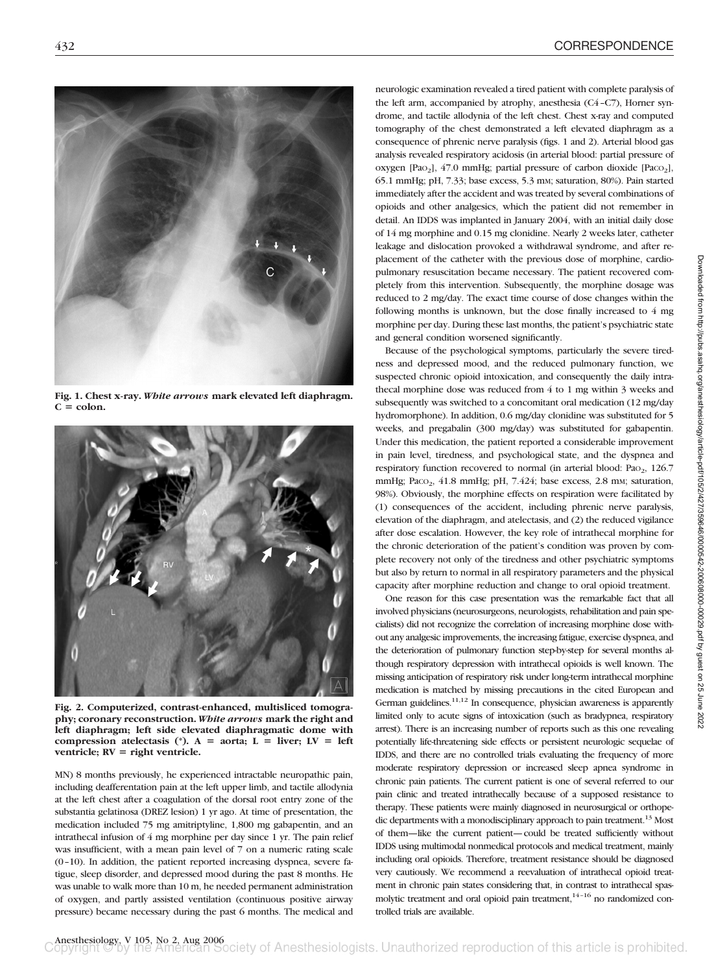

**Fig. 1. Chest x-ray.** *White arrows* **mark elevated left diaphragm.**  $C = \text{colon}$ .



**Fig. 2. Computerized, contrast-enhanced, multisliced tomography; coronary reconstruction.** *White arrows* **mark the right and left diaphragm; left side elevated diaphragmatic dome with** compression atelectasis (\*).  $A = a$ orta;  $L =$  liver;  $LV =$  left ventricle;  $RV =$  right ventricle.

MN) 8 months previously, he experienced intractable neuropathic pain, including deafferentation pain at the left upper limb, and tactile allodynia at the left chest after a coagulation of the dorsal root entry zone of the substantia gelatinosa (DREZ lesion) 1 yr ago. At time of presentation, the medication included 75 mg amitriptyline, 1,800 mg gabapentin, and an intrathecal infusion of 4 mg morphine per day since 1 yr. The pain relief was insufficient, with a mean pain level of 7 on a numeric rating scale (0 –10). In addition, the patient reported increasing dyspnea, severe fatigue, sleep disorder, and depressed mood during the past 8 months. He was unable to walk more than 10 m, he needed permanent administration of oxygen, and partly assisted ventilation (continuous positive airway pressure) became necessary during the past 6 months. The medical and

neurologic examination revealed a tired patient with complete paralysis of the left arm, accompanied by atrophy, anesthesia (C4 –C7), Horner syndrome, and tactile allodynia of the left chest. Chest x-ray and computed tomography of the chest demonstrated a left elevated diaphragm as a consequence of phrenic nerve paralysis (figs. 1 and 2). Arterial blood gas analysis revealed respiratory acidosis (in arterial blood: partial pressure of oxygen [Pa $o_2$ ], 47.0 mmHg; partial pressure of carbon dioxide [Pa $co_2$ ], 65.1 mmHg; pH, 7.33; base excess, 5.3 mM; saturation, 80%). Pain started immediately after the accident and was treated by several combinations of opioids and other analgesics, which the patient did not remember in detail. An IDDS was implanted in January 2004, with an initial daily dose of 14 mg morphine and 0.15 mg clonidine. Nearly 2 weeks later, catheter leakage and dislocation provoked a withdrawal syndrome, and after replacement of the catheter with the previous dose of morphine, cardiopulmonary resuscitation became necessary. The patient recovered completely from this intervention. Subsequently, the morphine dosage was reduced to 2 mg/day. The exact time course of dose changes within the following months is unknown, but the dose finally increased to 4 mg morphine per day. During these last months, the patient's psychiatric state and general condition worsened significantly.

Because of the psychological symptoms, particularly the severe tiredness and depressed mood, and the reduced pulmonary function, we suspected chronic opioid intoxication, and consequently the daily intrathecal morphine dose was reduced from 4 to 1 mg within 3 weeks and subsequently was switched to a concomitant oral medication (12 mg/day hydromorphone). In addition, 0.6 mg/day clonidine was substituted for 5 weeks, and pregabalin (300 mg/day) was substituted for gabapentin. Under this medication, the patient reported a considerable improvement in pain level, tiredness, and psychological state, and the dyspnea and respiratory function recovered to normal (in arterial blood: PaO<sub>2</sub>, 126.7) mmHg; Paco<sub>2</sub>, 41.8 mmHg; pH, 7.424; base excess, 2.8 mm; saturation, 98%). Obviously, the morphine effects on respiration were facilitated by (1) consequences of the accident, including phrenic nerve paralysis, elevation of the diaphragm, and atelectasis, and (2) the reduced vigilance after dose escalation. However, the key role of intrathecal morphine for the chronic deterioration of the patient's condition was proven by complete recovery not only of the tiredness and other psychiatric symptoms but also by return to normal in all respiratory parameters and the physical capacity after morphine reduction and change to oral opioid treatment.

One reason for this case presentation was the remarkable fact that all involved physicians (neurosurgeons, neurologists, rehabilitation and pain specialists) did not recognize the correlation of increasing morphine dose without any analgesic improvements, the increasing fatigue, exercise dyspnea, and the deterioration of pulmonary function step-by-step for several months although respiratory depression with intrathecal opioids is well known. The missing anticipation of respiratory risk under long-term intrathecal morphine medication is matched by missing precautions in the cited European and German guidelines. $11,12$  In consequence, physician awareness is apparently limited only to acute signs of intoxication (such as bradypnea, respiratory arrest). There is an increasing number of reports such as this one revealing potentially life-threatening side effects or persistent neurologic sequelae of IDDS, and there are no controlled trials evaluating the frequency of more moderate respiratory depression or increased sleep apnea syndrome in chronic pain patients. The current patient is one of several referred to our pain clinic and treated intrathecally because of a supposed resistance to therapy. These patients were mainly diagnosed in neurosurgical or orthopedic departments with a monodisciplinary approach to pain treatment.<sup>13</sup> Most of them—like the current patient—could be treated sufficiently without IDDS using multimodal nonmedical protocols and medical treatment, mainly including oral opioids. Therefore, treatment resistance should be diagnosed very cautiously. We recommend a reevaluation of intrathecal opioid treatment in chronic pain states considering that, in contrast to intrathecal spasmolytic treatment and oral opioid pain treatment, $14-16$  no randomized controlled trials are available.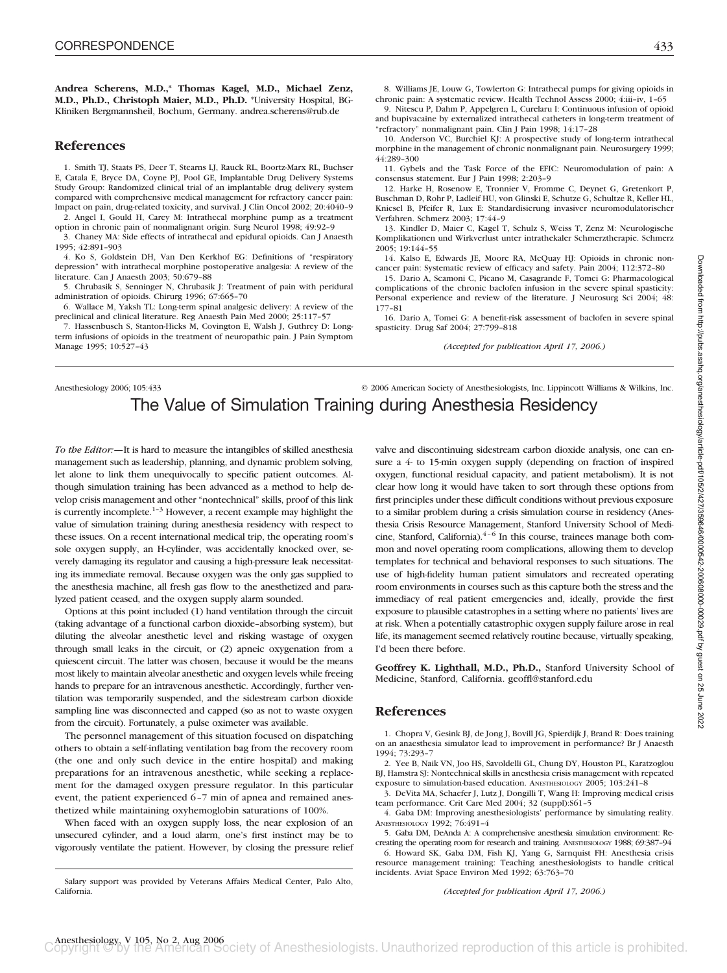**Andrea Scherens, M.D.,\* Thomas Kagel, M.D., Michael Zenz, M.D., Ph.D., Christoph Maier, M.D., Ph.D.** \*University Hospital, BG-Kliniken Bergmannsheil, Bochum, Germany. andrea.scherens@rub.de

## **References**

1. Smith TJ, Staats PS, Deer T, Stearns LJ, Rauck RL, Boortz-Marx RL, Buchser E, Catala E, Bryce DA, Coyne PJ, Pool GE, Implantable Drug Delivery Systems Study Group: Randomized clinical trial of an implantable drug delivery system compared with comprehensive medical management for refractory cancer pain: Impact on pain, drug-related toxicity, and survival. J Clin Oncol 2002; 20:4040–9

2. Angel I, Gould H, Carey M: Intrathecal morphine pump as a treatment option in chronic pain of nonmalignant origin. Surg Neurol 1998; 49:92–9 3. Chaney MA: Side effects of intrathecal and epidural opioids. Can J Anaesth

1995; 42:891–903 4. Ko S, Goldstein DH, Van Den Kerkhof EG: Definitions of "respiratory

depression" with intrathecal morphine postoperative analgesia: A review of the literature. Can J Anaesth 2003; 50:679–88

5. Chrubasik S, Senninger N, Chrubasik J: Treatment of pain with peridural administration of opioids. Chirurg 1996; 67:665–70

6. Wallace M, Yaksh TL: Long-term spinal analgesic delivery: A review of the preclinical and clinical literature. Reg Anaesth Pain Med 2000; 25:117-57

7. Hassenbusch S, Stanton-Hicks M, Covington E, Walsh J, Guthrey D: Longterm infusions of opioids in the treatment of neuropathic pain. J Pain Symptom Manage 1995; 10:527–43

9. Nitescu P, Dahm P, Appelgren L, Curelaru I: Continuous infusion of opioid and bupivacaine by externalized intrathecal catheters in long-term treatment of "refractory" nonmalignant pain. Clin J Pain 1998; 14:17–28

10. Anderson VC, Burchiel KJ: A prospective study of long-term intrathecal morphine in the management of chronic nonmalignant pain. Neurosurgery 1999; 44:289–300

11. Gybels and the Task Force of the EFIC: Neuromodulation of pain: A consensus statement. Eur J Pain 1998; 2:203–9

12. Harke H, Rosenow E, Tronnier V, Fromme C, Deynet G, Gretenkort P, Buschman D, Rohr P, Ladleif HU, von Glinski E, Schutze G, Schultze R, Keller HL, Kniesel B, Pfeifer R, Lux E: Standardisierung invasiver neuromodulatorischer Verfahren. Schmerz 2003; 17:44–9

13. Kindler D, Maier C, Kagel T, Schulz S, Weiss T, Zenz M: Neurologische Komplikationen und Wirkverlust unter intrathekaler Schmerztherapie. Schmerz 2005; 19:144–55

14. Kalso E, Edwards JE, Moore RA, McQuay HJ: Opioids in chronic noncancer pain: Systematic review of efficacy and safety. Pain 2004; 112:372–80

15. Dario A, Scamoni C, Picano M, Casagrande F, Tomei G: Pharmacological complications of the chronic baclofen infusion in the severe spinal spasticity: Personal experience and review of the literature. J Neurosurg Sci 2004; 48: 177–81

16. Dario A, Tomei G: A benefit-risk assessment of baclofen in severe spinal spasticity. Drug Saf 2004; 27:799–818

*(Accepted for publication April 17, 2006.)*

# Anesthesiology 2006; 105:433 © 2006 American Society of Anesthesiologists, Inc. Lippincott Williams & Wilkins, Inc. The Value of Simulation Training during Anesthesia Residency

*To the Editor:—*It is hard to measure the intangibles of skilled anesthesia management such as leadership, planning, and dynamic problem solving, let alone to link them unequivocally to specific patient outcomes. Although simulation training has been advanced as a method to help develop crisis management and other "nontechnical" skills, proof of this link is currently incomplete.<sup>1-3</sup> However, a recent example may highlight the value of simulation training during anesthesia residency with respect to these issues. On a recent international medical trip, the operating room's sole oxygen supply, an H-cylinder, was accidentally knocked over, severely damaging its regulator and causing a high-pressure leak necessitating its immediate removal. Because oxygen was the only gas supplied to the anesthesia machine, all fresh gas flow to the anesthetized and paralyzed patient ceased, and the oxygen supply alarm sounded.

Options at this point included (1) hand ventilation through the circuit (taking advantage of a functional carbon dioxide–absorbing system), but diluting the alveolar anesthetic level and risking wastage of oxygen through small leaks in the circuit, or (2) apneic oxygenation from a quiescent circuit. The latter was chosen, because it would be the means most likely to maintain alveolar anesthetic and oxygen levels while freeing hands to prepare for an intravenous anesthetic. Accordingly, further ventilation was temporarily suspended, and the sidestream carbon dioxide sampling line was disconnected and capped (so as not to waste oxygen from the circuit). Fortunately, a pulse oximeter was available.

The personnel management of this situation focused on dispatching others to obtain a self-inflating ventilation bag from the recovery room (the one and only such device in the entire hospital) and making preparations for an intravenous anesthetic, while seeking a replacement for the damaged oxygen pressure regulator. In this particular event, the patient experienced 6 –7 min of apnea and remained anesthetized while maintaining oxyhemoglobin saturations of 100%.

When faced with an oxygen supply loss, the near explosion of an unsecured cylinder, and a loud alarm, one's first instinct may be to vigorously ventilate the patient. However, by closing the pressure relief

valve and discontinuing sidestream carbon dioxide analysis, one can ensure a 4- to 15-min oxygen supply (depending on fraction of inspired oxygen, functional residual capacity, and patient metabolism). It is not clear how long it would have taken to sort through these options from first principles under these difficult conditions without previous exposure to a similar problem during a crisis simulation course in residency (Anesthesia Crisis Resource Management, Stanford University School of Medicine, Stanford, California).4–6 In this course, trainees manage both common and novel operating room complications, allowing them to develop templates for technical and behavioral responses to such situations. The use of high-fidelity human patient simulators and recreated operating room environments in courses such as this capture both the stress and the immediacy of real patient emergencies and, ideally, provide the first exposure to plausible catastrophes in a setting where no patients' lives are at risk. When a potentially catastrophic oxygen supply failure arose in real life, its management seemed relatively routine because, virtually speaking, I'd been there before.

**Geoffrey K. Lighthall, M.D., Ph.D.,** Stanford University School of Medicine, Stanford, California. geoffl@stanford.edu

## **References**

1. Chopra V, Gesink BJ, de Jong J, Bovill JG, Spierdijk J, Brand R: Does training on an anaesthesia simulator lead to improvement in performance? Br J Anaesth 1994; 73:293–7

2. Yee B, Naik VN, Joo HS, Savoldelli GL, Chung DY, Houston PL, Karatzoglou BJ, Hamstra SJ: Nontechnical skills in anesthesia crisis management with repeated exposure to simulation-based education. ANESTHESIOLOGY 2005; 103:241–8

3. DeVita MA, Schaefer J, Lutz J, Dongilli T, Wang H: Improving medical crisis team performance. Crit Care Med 2004; 32 (suppl):S61–5

4. Gaba DM: Improving anesthesiologists' performance by simulating reality. ANESTHESIOLOGY 1992; 76:491–4

5. Gaba DM, DeAnda A: A comprehensive anesthesia simulation environment: Recreating the operating room for research and training. ANESTHESIOLOGY 1988; 69:387–94

6. Howard SK, Gaba DM, Fish KJ, Yang G, Sarnquist FH: Anesthesia crisis resource management training: Teaching anesthesiologists to handle critical incidents. Aviat Space Environ Med 1992; 63:763–70

*(Accepted for publication April 17, 2006.)*

Salary support was provided by Veterans Affairs Medical Center, Palo Alto, California.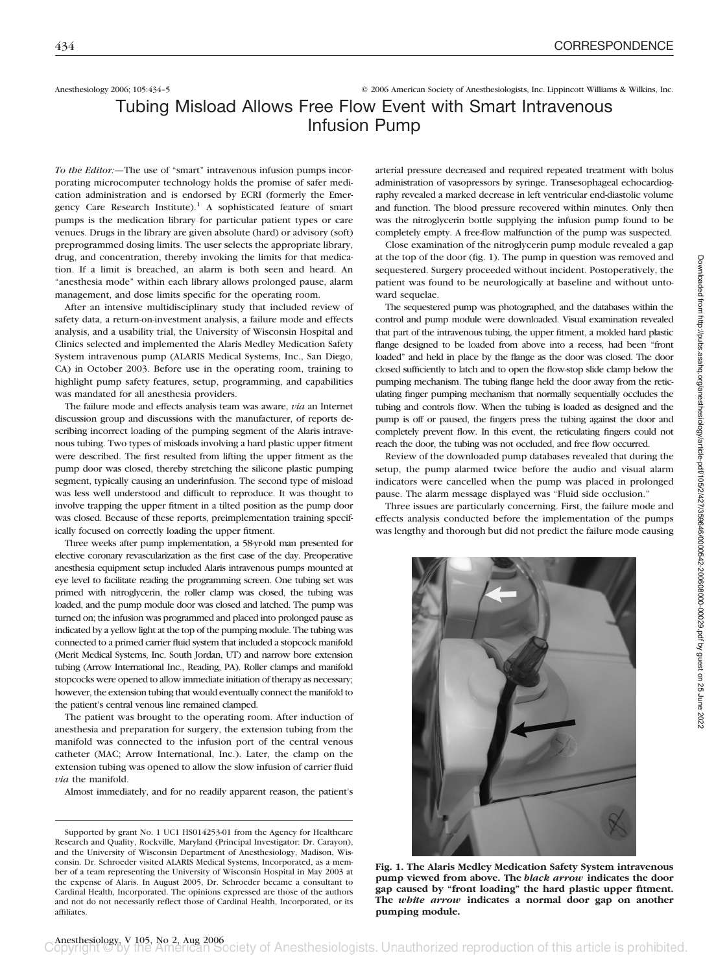Anesthesiology 2006; 105:434–5 © 2006 American Society of Anesthesiologists, Inc. Lippincott Williams & Wilkins, Inc.

# Tubing Misload Allows Free Flow Event with Smart Intravenous Infusion Pump

*To the Editor:—*The use of "smart" intravenous infusion pumps incorporating microcomputer technology holds the promise of safer medication administration and is endorsed by ECRI (formerly the Emergency Care Research Institute).1 A sophisticated feature of smart pumps is the medication library for particular patient types or care venues. Drugs in the library are given absolute (hard) or advisory (soft) preprogrammed dosing limits. The user selects the appropriate library, drug, and concentration, thereby invoking the limits for that medication. If a limit is breached, an alarm is both seen and heard. An "anesthesia mode" within each library allows prolonged pause, alarm management, and dose limits specific for the operating room.

After an intensive multidisciplinary study that included review of safety data, a return-on-investment analysis, a failure mode and effects analysis, and a usability trial, the University of Wisconsin Hospital and Clinics selected and implemented the Alaris Medley Medication Safety System intravenous pump (ALARIS Medical Systems, Inc., San Diego, CA) in October 2003. Before use in the operating room, training to highlight pump safety features, setup, programming, and capabilities was mandated for all anesthesia providers.

The failure mode and effects analysis team was aware, *via* an Internet discussion group and discussions with the manufacturer, of reports describing incorrect loading of the pumping segment of the Alaris intravenous tubing. Two types of misloads involving a hard plastic upper fitment were described. The first resulted from lifting the upper fitment as the pump door was closed, thereby stretching the silicone plastic pumping segment, typically causing an underinfusion. The second type of misload was less well understood and difficult to reproduce. It was thought to involve trapping the upper fitment in a tilted position as the pump door was closed. Because of these reports, preimplementation training specifically focused on correctly loading the upper fitment.

Three weeks after pump implementation, a 58-yr-old man presented for elective coronary revascularization as the first case of the day. Preoperative anesthesia equipment setup included Alaris intravenous pumps mounted at eye level to facilitate reading the programming screen. One tubing set was primed with nitroglycerin, the roller clamp was closed, the tubing was loaded, and the pump module door was closed and latched. The pump was turned on; the infusion was programmed and placed into prolonged pause as indicated by a yellow light at the top of the pumping module. The tubing was connected to a primed carrier fluid system that included a stopcock manifold (Merit Medical Systems, Inc. South Jordan, UT) and narrow bore extension tubing (Arrow International Inc., Reading, PA). Roller clamps and manifold stopcocks were opened to allow immediate initiation of therapy as necessary; however, the extension tubing that would eventually connect the manifold to the patient's central venous line remained clamped.

The patient was brought to the operating room. After induction of anesthesia and preparation for surgery, the extension tubing from the manifold was connected to the infusion port of the central venous catheter (MAC; Arrow International, Inc.). Later, the clamp on the extension tubing was opened to allow the slow infusion of carrier fluid *via* the manifold.

Almost immediately, and for no readily apparent reason, the patient's

arterial pressure decreased and required repeated treatment with bolus administration of vasopressors by syringe. Transesophageal echocardiography revealed a marked decrease in left ventricular end-diastolic volume and function. The blood pressure recovered within minutes. Only then was the nitroglycerin bottle supplying the infusion pump found to be completely empty. A free-flow malfunction of the pump was suspected.

Close examination of the nitroglycerin pump module revealed a gap at the top of the door (fig. 1). The pump in question was removed and sequestered. Surgery proceeded without incident. Postoperatively, the patient was found to be neurologically at baseline and without untoward sequelae.

The sequestered pump was photographed, and the databases within the control and pump module were downloaded. Visual examination revealed that part of the intravenous tubing, the upper fitment, a molded hard plastic flange designed to be loaded from above into a recess, had been "front loaded" and held in place by the flange as the door was closed. The door closed sufficiently to latch and to open the flow-stop slide clamp below the pumping mechanism. The tubing flange held the door away from the reticulating finger pumping mechanism that normally sequentially occludes the tubing and controls flow. When the tubing is loaded as designed and the pump is off or paused, the fingers press the tubing against the door and completely prevent flow. In this event, the reticulating fingers could not reach the door, the tubing was not occluded, and free flow occurred.

Review of the downloaded pump databases revealed that during the setup, the pump alarmed twice before the audio and visual alarm indicators were cancelled when the pump was placed in prolonged pause. The alarm message displayed was "Fluid side occlusion."

Three issues are particularly concerning. First, the failure mode and effects analysis conducted before the implementation of the pumps was lengthy and thorough but did not predict the failure mode causing



**Fig. 1. The Alaris Medley Medication Safety System intravenous pump viewed from above. The** *black arrow* **indicates the door gap caused by "front loading" the hard plastic upper fitment. The** *white arrow* **indicates a normal door gap on another pumping module.**

Supported by grant No. 1 UC1 HS014253-01 from the Agency for Healthcare Research and Quality, Rockville, Maryland (Principal Investigator: Dr. Carayon), and the University of Wisconsin Department of Anesthesiology, Madison, Wisconsin. Dr. Schroeder visited ALARIS Medical Systems, Incorporated, as a member of a team representing the University of Wisconsin Hospital in May 2003 at the expense of Alaris. In August 2005, Dr. Schroeder became a consultant to Cardinal Health, Incorporated. The opinions expressed are those of the authors and not do not necessarily reflect those of Cardinal Health, Incorporated, or its affiliates.